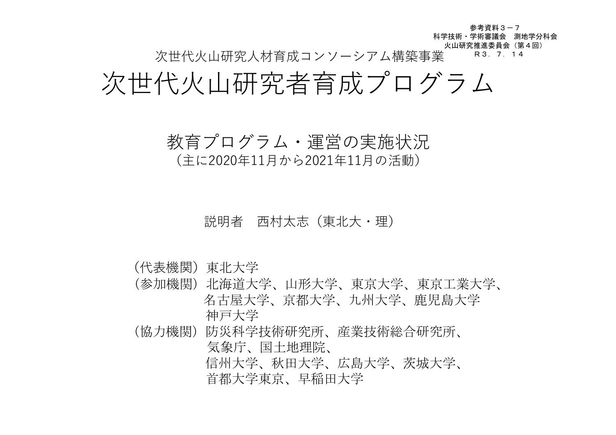次世代火山研究人材育成コンソーシアム構築事業 参考資料3-7 科学技術・学術審議会 測地学分科会 火山研究推進委員会(第4回) R3.7.14

# 次世代火山研究者育成プログラム

### 教育プログラム・運営の実施状況

(主に2020年11月から2021年11月の活動)

#### 説明者 西村太志(東北大・理)

(代表機関)東北大学

- (参加機関)北海道大学、山形大学、東京大学、東京工業大学、 名古屋大学、京都大学、九州大学、鹿児島大学 神戸大学
- (協力機関)防災科学技術研究所、産業技術総合研究所、 気象庁、国土地理院、 信州大学、秋田大学、広島大学、茨城大学、 首都大学東京、早稲田大学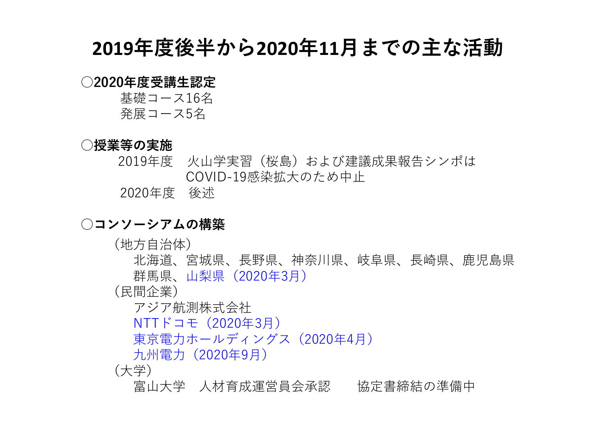## **2019**年度後半から**2020**年**11**月までの主な活動

#### ○2020年度受講生認定

基礎コース16名 発展コース5名

#### ○授業等の実施

2019年度 火山学実習(桜島)および建議成果報告シンポは COVID-19感染拡大のため中止

2020年度 後述

#### ○コンソーシアムの構築

(地方自治体)

北海道、宮城県、長野県、神奈川県、岐阜県、長崎県、鹿児島県 群馬県、山梨県(2020年3月)

(民間企業)

アジア航測株式会社

NTTドコモ(2020年3月)

東京電力ホールディングス(2020年4月)

九州電力(2020年9月)

(大学)

富山大学 人材育成運営員会承認 協定書締結の準備中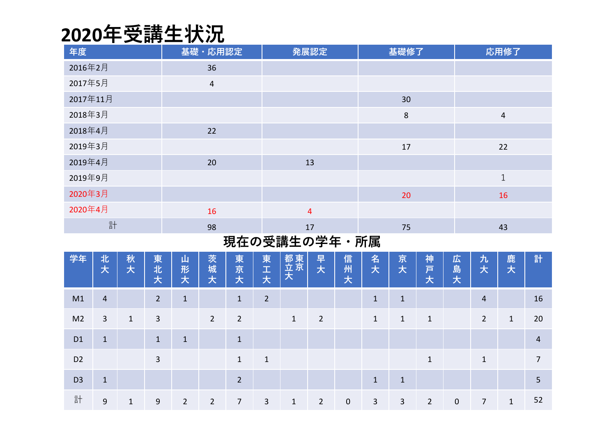# **2020**年受講生状況

| 年度       | 基礎・応用認定        | 発展認定           | 基礎修了           | 応用修了           |
|----------|----------------|----------------|----------------|----------------|
| 2016年2月  | 36             |                |                |                |
| 2017年5月  | $\overline{4}$ |                |                |                |
| 2017年11月 |                |                | 30             |                |
| 2018年3月  |                |                | $8\phantom{1}$ | $\overline{4}$ |
| 2018年4月  | 22             |                |                |                |
| 2019年3月  |                |                | 17             | 22             |
| 2019年4月  | 20             | 13             |                |                |
| 2019年9月  |                |                |                | $\mathbf{1}$   |
| 2020年3月  |                |                | 20             | 16             |
| 2020年4月  | 16             | $\overline{4}$ |                |                |
| 計        | 98             | 17             | 75             | 43             |

#### 現在の受講生の学年・所属

| 学年             | 北<br>大         | 秋<br>大       | 東<br>北<br>大    | 山<br>形<br>大    | 茨<br>城<br>大    | 東<br>京<br>大    | 東<br>H,<br>大   | 都東<br>立京<br>大 | 早<br>大         | 信<br>州<br>大 | 名<br>大       | 京<br>大       | 神<br>戸<br>大    | 広<br>島大     | 九<br>大         | 鹿<br>大       | 計              |
|----------------|----------------|--------------|----------------|----------------|----------------|----------------|----------------|---------------|----------------|-------------|--------------|--------------|----------------|-------------|----------------|--------------|----------------|
| M1             | $\overline{4}$ |              | $\overline{2}$ | $\mathbf{1}$   |                | $\mathbf{1}$   | $\overline{2}$ |               |                |             | $\mathbf{1}$ | $\mathbf{1}$ |                |             | $\overline{4}$ |              | 16             |
| M <sub>2</sub> | $\mathbf{3}$   | $\mathbf{1}$ | 3              |                | $\overline{2}$ | $\overline{2}$ |                | $\mathbf{1}$  | $\overline{2}$ |             | $\mathbf{1}$ | $\mathbf{1}$ | $\mathbf{1}$   |             | $\overline{2}$ | $\mathbf{1}$ | 20             |
| D <sub>1</sub> | $\mathbf{1}$   |              | $\mathbf{1}$   | $\mathbf{1}$   |                | $\mathbf{1}$   |                |               |                |             |              |              |                |             |                |              | $\overline{4}$ |
| D <sub>2</sub> |                |              | 3              |                |                | $\mathbf{1}$   | $\mathbf{1}$   |               |                |             |              |              | $\mathbf{1}$   |             | $\mathbf{1}$   |              | $\overline{7}$ |
| D <sub>3</sub> | $\mathbf{1}$   |              |                |                |                | $\overline{2}$ |                |               |                |             | $\mathbf{1}$ | $\mathbf{1}$ |                |             |                |              | 5              |
| 計              | 9              | $\mathbf{1}$ | 9              | $\overline{2}$ | $\overline{2}$ | $\overline{7}$ | 3              | $\mathbf{1}$  | $\overline{2}$ | $\mathbf 0$ | $\mathbf{3}$ | 3            | $\overline{2}$ | $\mathbf 0$ | 7              | $\mathbf{1}$ | 52             |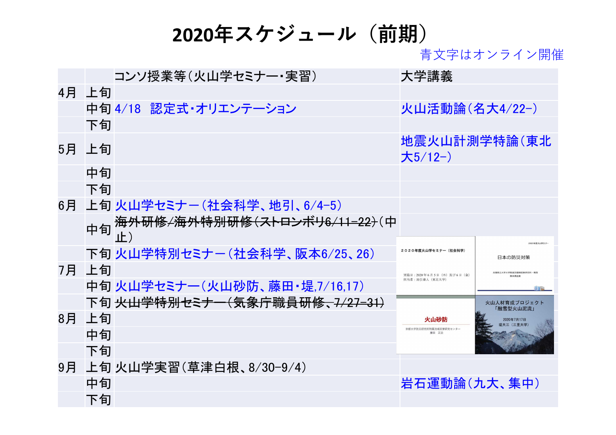## **2020**年スケジュール(前期)

青文字はオンライン開催

|    |       | コンソ授業等(火山学セミナー・実習)                                 | 大学講義                           |                                |
|----|-------|----------------------------------------------------|--------------------------------|--------------------------------|
|    | 4月 上旬 |                                                    |                                |                                |
|    |       | 中旬 4/18 認定式・オリエンテーション                              | 火山活動論(名大4/22-)                 |                                |
|    | 下旬    |                                                    |                                |                                |
|    | 5月 上旬 |                                                    | 大 $5/12$ -)                    | 地震火山計測学特論(東北                   |
|    | 中旬    |                                                    |                                |                                |
|    | 下旬    |                                                    |                                |                                |
| 6月 |       | 上旬 火山学セミナー(社会科学、地引、6/4-5)                          |                                |                                |
|    |       | 中旬 海外研修/海外特别研修(ストロンボリ6/11-22 <del>)</del> (中<br>止) |                                | 2020年度火山学セミ                    |
|    |       | 下旬 火山学特別セミナー(社会科学、阪本6/25、26)                       | 2020年度火山学セミナー(社会科学)            | 日本の防災対策                        |
|    | 7月 上旬 |                                                    | 実施日: 2020年6月5日 (木)及び6日 (金)     | 兵庫県立大学大学院減災復興政策研究科・教授<br>阪木直中華 |
|    |       | 中旬 火山学セミナー (火山砂防、藤田・堤,7/16,17)                     | 担当者:地引秦人 (東北大学)                | fre                            |
|    |       | 下旬 <del>火山学特別セミナー(気象庁職員研修、7/27-31)</del>           |                                | 火山人材育成プロジェクト<br>「融雪型火山泥流」      |
|    | 8月 上旬 |                                                    | 火山砂防                           | 2020年7月17日                     |
|    | 中旬    |                                                    | 京都大学防災研究所附属流域災害研究センター<br>藤田 正治 |                                |
|    | 下旬    |                                                    |                                |                                |
|    |       | 9月 上旬 火山学実習(草津白根、8/30-9/4)                         |                                |                                |
|    | 中旬    |                                                    | 岩石運動論(九大、集中)                   |                                |
|    | 下旬    |                                                    |                                |                                |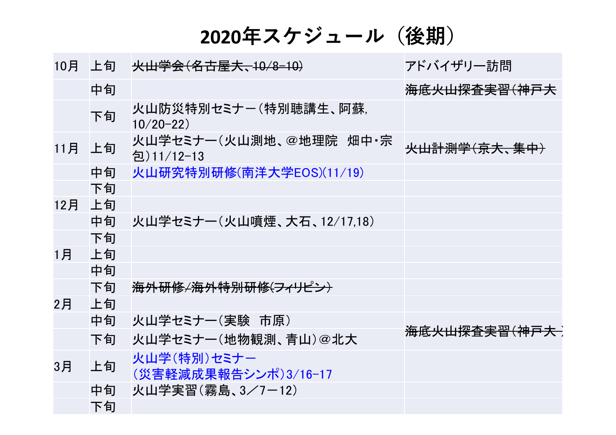**2020**年スケジュール(後期)

| 10月   | 上旬 | <del>火山学会(名古屋大、10/8-10)</del>          | アドバイザリー訪問                 |
|-------|----|----------------------------------------|---------------------------|
|       | 中旬 |                                        | <del>海底火山探査実習(神戸大</del>   |
|       | 下旬 | 火山防災特別セミナー(特別聴講生、阿蘇,<br>$10/20 - 22)$  |                           |
| 11月   | 上旬 | 火山学セミナー(火山測地、@地理院 畑中・宗<br>$2)11/12-13$ | <del>火山計測学(京大、集中)</del>   |
|       | 中旬 | 火山研究特別研修(南洋大学EOS)(11/19)               |                           |
|       | 下旬 |                                        |                           |
| 12月   | 上旬 |                                        |                           |
|       | 中旬 | 火山学セミナー(火山噴煙、大石、12/17.18)              |                           |
|       | 下旬 |                                        |                           |
| $1$ 月 | 上旬 |                                        |                           |
|       | 中旬 |                                        |                           |
|       | 下旬 | <del>海外研修/海外特別研修(フィリピン)</del>          |                           |
| 2月    | 上旬 |                                        |                           |
|       | 中旬 | 火山学セミナー(実験 市原)                         |                           |
|       | 下旬 | 火山学セミナー(地物観測、青山)@北大                    | <del>海底火山探査実習(神戸大 )</del> |
| 3月    | 上旬 | 火山学(特別)セミナー<br>(災害軽減成果報告シンポ)3/16-17    |                           |
|       | 中旬 | 火山学実習(霧島、3/7-12)                       |                           |
|       | 下旬 |                                        |                           |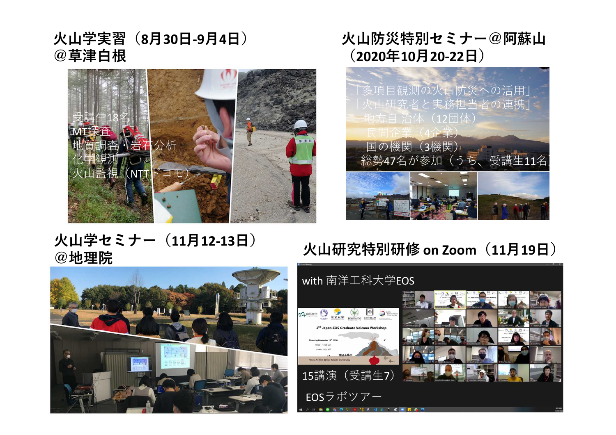火山学実習(**8**月**30**日**-9**月**4**日) @草津白根



### 火山防災特別セミナー@阿蘇山 (**2020**年**10**月**20-22**日)



### 火山学セミナー(**11**月**12-13**日) @地理院

## 火山研究特別研修 **on Zoom**(**11**月**19**日)



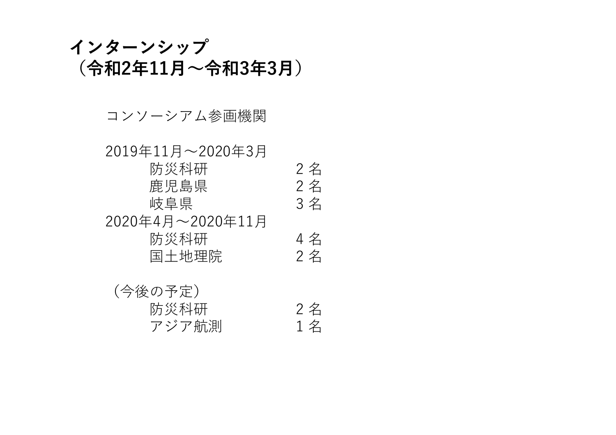### インターンシップ (令和2年11月~令和3年3月)

#### コンソーシアム参画機関

### 2019年11月~2020年3月 防災科研 2名<br>鹿児島県 2名 かんちゃん おいちゃく おんじょう おんじょう おんじょう おんじょう おんじょう おんじょう おんじょう おんじょう おんじょう おんじょう おんじょう おんじょう はんじょう はんじょう はんじょう はんじょう はんじょう はんじょう はんじょう はんじょう はんじょう はんじょう はんじょう はんじょう はんじょう はんこう はんしゃ はんじょう はんじょう 岐阜県 2020年4月~2020年11月 防災科研 4名<br>国土地理院 2名 国土地理院

| (今後の予定) |    |
|---------|----|
| 防災科研    | 2名 |
| アジア航測   | 1名 |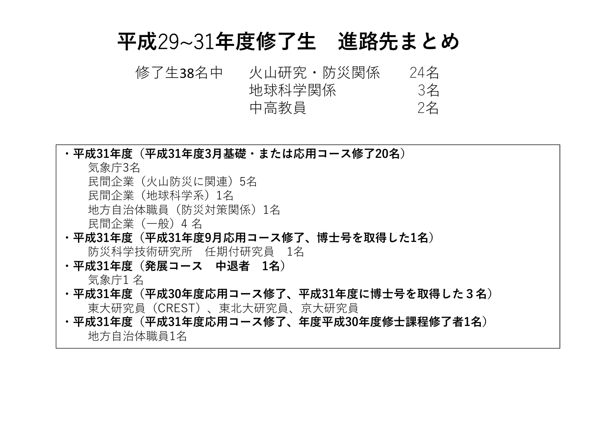## 平成29~31年度修了生 進路先まとめ

火山研究・防災関係 24名<br>地球科学関係 3名 地球科学関係 3名<br>中高教員 2名 中高教員 修了生38名中

| ・平成31年度(平成31年度3月基礎・または応用コース修了20名)        |
|------------------------------------------|
| 気象庁3名                                    |
| 民間企業 (火山防災に関連) 5名                        |
| 民間企業(地球科学系)1名                            |
| 地方自治体職員(防災対策関係)1名                        |
| 民間企業 (一般) 4名                             |
| ・平成31年度(平成31年度9月応用コース修了、博士号を取得した1名)      |
| 防災科学技術研究所 任期付研究員 1名                      |
| ・平成31年度(発展コース 中退者 1名)                    |
| 気象庁1 名                                   |
| ・平成31年度(平成30年度応用コース修了、平成31年度に博士号を取得した3名) |
| 東大研究員(CREST)、東北大研究員、京大研究員                |
| ・平成31年度(平成31年度応用コース修了、年度平成30年度修士課程修了者1名) |
| 地方自治体職員1名                                |
|                                          |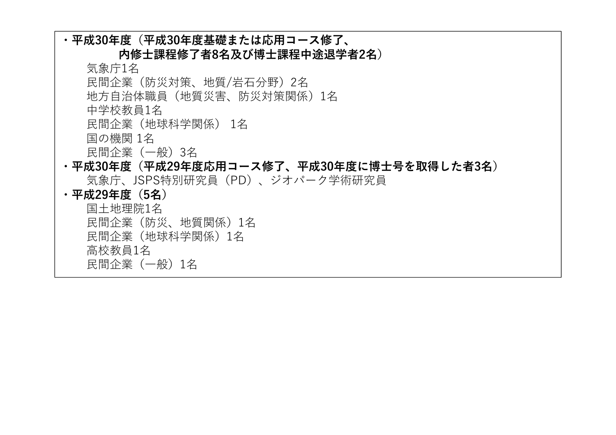| ・平成30年度(平成30年度基礎または応用コース修了、               |
|-------------------------------------------|
| 内修士課程修了者8名及び博士課程中途退学者2名)                  |
| 気象庁1名                                     |
| 民間企業(防災対策、地質/岩石分野)2名                      |
| 地方自治体職員(地質災害、防災対策関係)1名                    |
| 中学校教員1名                                   |
| 民間企業(地球科学関係) 1名                           |
| 国の機関 1名                                   |
| 民間企業(一般)3名                                |
| ・平成30年度(平成29年度応用コース修了、平成30年度に博士号を取得した者3名) |
| 気象庁、JSPS特別研究員(PD)、ジオパーク学術研究員              |
| ・平成29年度(5名)                               |
| 国土地理院1名                                   |
| 民間企業(防災、地質関係)1名                           |
| 民間企業(地球科学関係)1名                            |
| 高校教員1名                                    |
| 民間企業(一般)1名                                |
|                                           |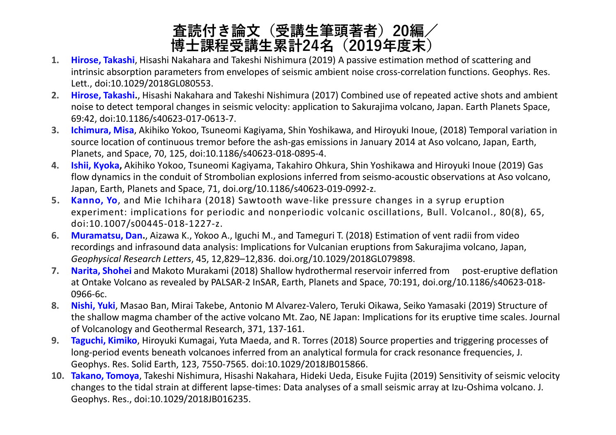### 査読付き論文(受講生筆頭著者)20編/ 博士課程受講生累計24名 (2019年度末)

- **1. Hirose, Takashi**, Hisashi Nakahara and Takeshi Nishimura (2019) A passive estimation method of scattering and intrinsic absorption parameters from envelopes of seismic ambient noise cross‐correlation functions. Geophys. Res. Lett., doi:10.1029/2018GL080553.
- **2. Hirose, Takashi.**, Hisashi Nakahara and Takeshi Nishimura (2017) Combined use of repeated active shots and ambient noise to detect temporal changes in seismic velocity: application to Sakurajima volcano, Japan. Earth Planets Space, 69:42, doi:10.1186/s40623-017-0613-7.
- **3. Ichimura, Misa**, Akihiko Yokoo, Tsuneomi Kagiyama, Shin Yoshikawa, and Hiroyuki Inoue, (2018) Temporal variation in source location of continuous tremor before the ash-gas emissions in January 2014 at Aso volcano, Japan, Earth, Planets, and Space, 70, 125, doi:10.1186/s40623-018-0895-4.
- **4. Ishii, Kyoka,** Akihiko Yokoo, Tsuneomi Kagiyama, Takahiro Ohkura, Shin Yoshikawa and Hiroyuki Inoue (2019) Gas flow dynamics in the conduit of Strombolian explosions inferred from seismo-acoustic observations at Aso volcano, Japan, Earth, Planets and Space, 71, doi.org/10.1186/s40623-019-0992-z.
- **5. Kanno, Yo**, and Mie Ichihara (2018) Sawtooth wave-like pressure changes in a syrup eruption experiment: implications for periodic and nonperiodic volcanic oscillations, Bull. Volcanol., 80(8), 65, doi:10.1007/s00445-018-1227-z.
- **6. Muramatsu, Dan.**, Aizawa K., Yokoo A., Iguchi M., and Tameguri T. (2018) Estimation of vent radii from video recordings and infrasound data analysis: Implications for Vulcanian eruptions from Sakurajima volcano, Japan, *Geophysical Research Letters*, 45, 12,829–12,836. doi.org/10.1029/2018GL079898.
- **7. Narita, Shohei** and Makoto Murakami (2018) Shallow hydrothermal reservoir inferred from post-eruptive deflation at Ontake Volcano as revealed by PALSAR-2 InSAR, Earth, Planets and Space, 70:191, doi.org/10.1186/s40623-018- 0966-6c.
- **8. Nishi, Yuki**, Masao Ban, Mirai Takebe, Antonio M Alvarez-Valero, Teruki Oikawa, Seiko Yamasaki (2019) Structure of the shallow magma chamber of the active volcano Mt. Zao, NE Japan: Implications for its eruptive time scales. Journal of Volcanology and Geothermal Research, 371, 137-161.
- **9. Taguchi, Kimiko**, Hiroyuki Kumagai, Yuta Maeda, and R. Torres (2018) Source properties and triggering processes of long‐period events beneath volcanoes inferred from an analytical formula for crack resonance frequencies, J. Geophys. Res. Solid Earth, 123, 7550-7565. doi:10.1029/2018JB015866.
- **10. Takano, Tomoya**, Takeshi Nishimura, Hisashi Nakahara, Hideki Ueda, Eisuke Fujita (2019) Sensitivity of seismic velocity changes to the tidal strain at different lapse‐times: Data analyses of a small seismic array at Izu‐Oshima volcano. J. Geophys. Res., doi:10.1029/2018JB016235.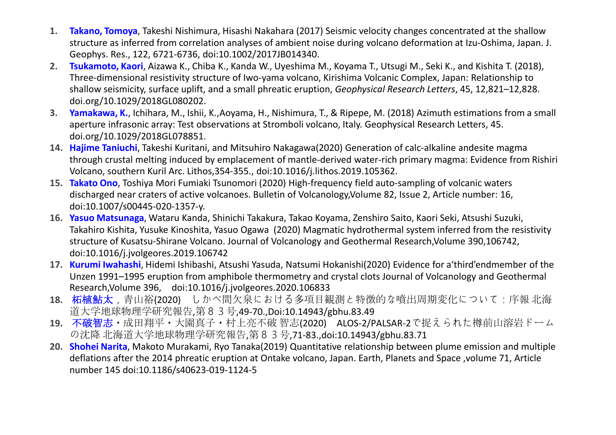- **1. Takano, Tomoya**, Takeshi Nishimura, Hisashi Nakahara (2017) Seismic velocity changes concentrated at the shallow structure as inferred from correlation analyses of ambient noise during volcano deformation at Izu-Oshima, Japan. J. Geophys. Res., 122, 6721-6736, doi:10.1002/2017JB014340.
- **2. Tsukamoto, Kaori**, Aizawa K., Chiba K., Kanda W., Uyeshima M., Koyama T., Utsugi M., Seki K., and Kishita T. (2018), Three-dimensional resistivity structure of Iwo-yama volcano, Kirishima Volcanic Complex, Japan: Relationship to shallow seismicity, surface uplift, and a small phreatic eruption, *Geophysical Research Letters*, 45, 12,821–12,828. doi.org/10.1029/2018GL080202.
- **3. Yamakawa, K.**, Ichihara, M., Ishii, K.,Aoyama, H., Nishimura, T., & Ripepe, M. (2018) Azimuth estimations from a small aperture infrasonic array: Test observations at Stromboli volcano, Italy. Geophysical Research Letters, 45. doi.org/10.1029/2018GL078851.
- **14. Hajime Taniuchi**, Takeshi Kuritani, and Mitsuhiro Nakagawa(2020) Generation of calc-alkaline andesite magma through crustal melting induced by emplacement of mantle-derived water-rich primary magma: Evidence from Rishiri Volcano, southern Kuril Arc. Lithos,354-355., doi:10.1016/j.lithos.2019.105362.
- **15. Takato Ono**, Toshiya Mori Fumiaki Tsunomori (2020) High-frequency field auto-sampling of volcanic waters discharged near craters of active volcanoes. Bulletin of Volcanology,Volume 82, Issue 2, Article number: 16, doi:10.1007/s00445-020-1357-y.
- **16. Yasuo Matsunaga**, Wataru Kanda, Shinichi Takakura, Takao Koyama, Zenshiro Saito, Kaori Seki, Atsushi Suzuki, Takahiro Kishita, Yusuke Kinoshita, Yasuo Ogawa (2020) Magmatic hydrothermal system inferred from the resistivity structure of Kusatsu-Shirane Volcano. Journal of Volcanology and Geothermal Research,Volume 390,106742, doi:10.1016/j.jvolgeores.2019.106742
- **17. Kurumi Iwahashi**, Hidemi Ishibashi, Atsushi Yasuda, Natsumi Hokanishi(2020) Evidence for a'third'endmember of the Unzen 1991–1995 eruption from amphibole thermometry and crystal clots Journal of Volcanology and Geothermal Research,Volume 396, doi:10.1016/j.jvolgeores.2020.106833
- **18.** 柘植鮎太,青山裕(2020) しかべ間欠泉における多項目観測と特徴的な噴出周期変化について:序報 北海 道大学地球物理学研究報告,第83号,49-70.,Doi:10.14943/gbhu.83.49
- **19.** 不破智志・成田翔平・大園真子・村上亮不破 智志(2020) ALOS-2/PALSAR-2で捉えられた樽前山溶岩ドーム の沈降 北海道大学地球物理学研究報告,第83号,71-83.,doi:10.14943/gbhu.83.71
- **20. Shohei Narita**, Makoto Murakami, Ryo Tanaka(2019) Quantitative relationship between plume emission and multiple deflations after the 2014 phreatic eruption at Ontake volcano, Japan. Earth, Planets and Space ,volume 71, Article number 145 doi:10.1186/s40623-019-1124-5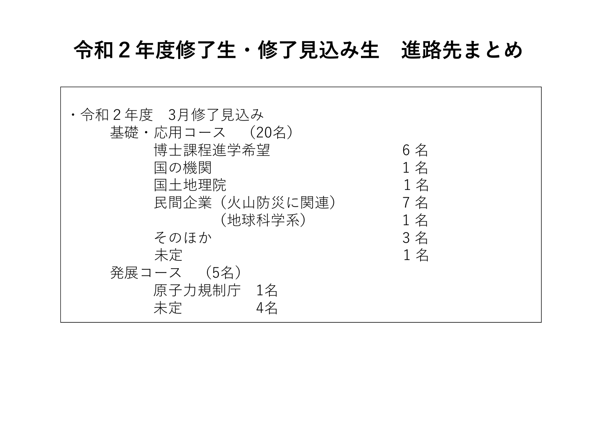# 令和2年度修了生・修了見込み生 進路先まとめ

 $\Gamma$ 

<u> 1989 - Johann Barbara, martxa alemaniar arg</u>

| ・令和2年度 3月修了見込み |     |
|----------------|-----|
| 基礎・応用コース (20名) |     |
| 博士課程進学希望       | 6名  |
| 国の機関           | 1名  |
| 国土地理院          | 1名  |
| 民間企業 (火山防災に関連) | 7 名 |
| (地球科学系)        | 1名  |
| そのほか           | 3名  |
| 未定             | 1名  |
| 発展コース (5名)     |     |
| 原子力規制庁 1名      |     |
| 4名<br>未定       |     |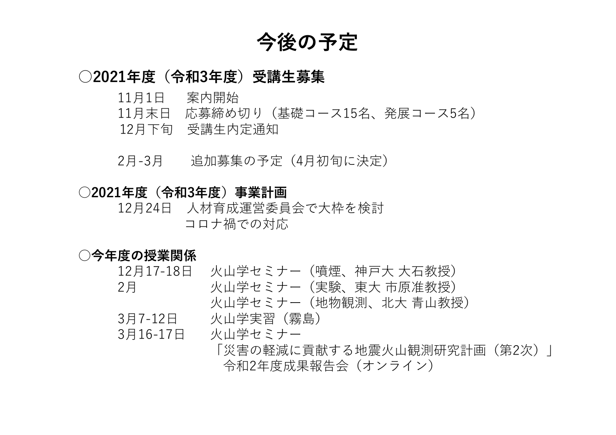## 今後の予定

#### ○2021年度(令和3年度)受講生募集

- 11月1日 案内開始
- 11月末日 応募締め切り(基礎コース15名、発展コース5名)
- 12月下旬 受講生内定通知
- 2月-3月 追加募集の予定(4月初旬に決定)

#### ○2021年度(令和3年度)事業計画

12月24日 人材育成運営委員会で大枠を検討 コロナ禍での対応

#### ○今年度の授業関係

| 12月17-18日 | - 火山学セミナー(噴煙、神戸大 大石教授)      |
|-----------|-----------------------------|
| 2月        | 火山学セミナー(実験、東大 市原准教授)        |
|           | 火山学セミナー(地物観測、北大 青山教授)       |
| 3月7-12日   | 火山学実習(霧島)                   |
| 3月16-17日  | 火山学セミナー                     |
|           | 「災害の軽減に貢献する地震火山観測研究計画(第2次)」 |

令和2年度成果報告会(オンライン)